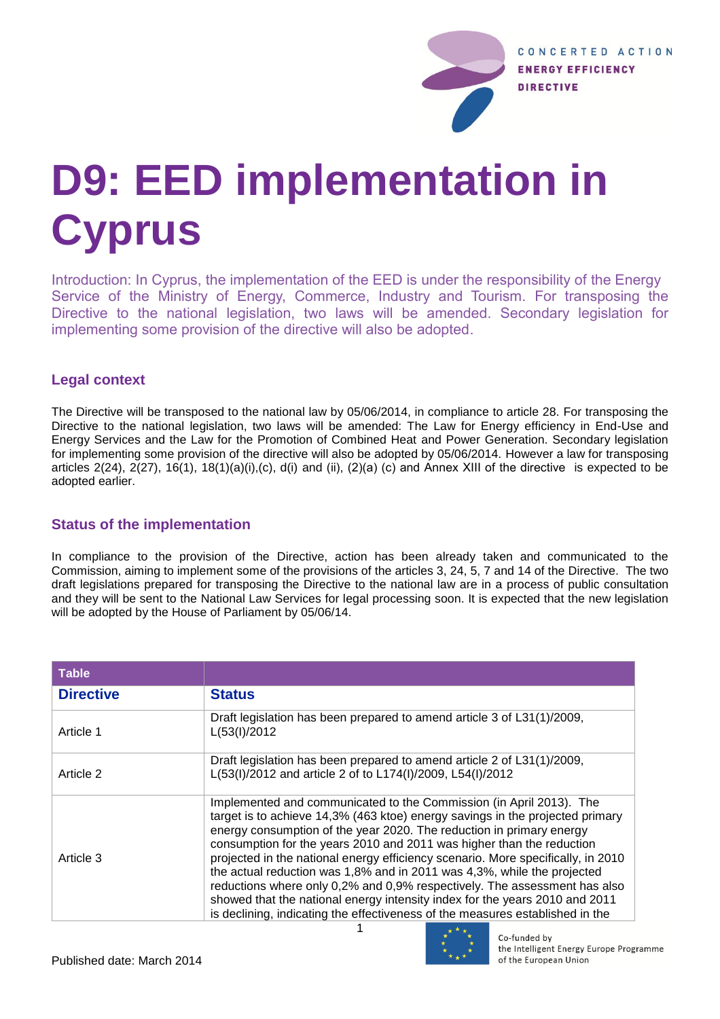

# **D9: EED implementation in Cyprus**

Introduction: In Cyprus, the implementation of the EED is under the responsibility of the Energy Service of the Ministry of Energy, Commerce, Industry and Tourism. For transposing the Directive to the national legislation, two laws will be amended. Secondary legislation for implementing some provision of the directive will also be adopted.

## **Legal context**

The Directive will be transposed to the national law by 05/06/2014, in compliance to article 28. For transposing the Directive to the national legislation, two laws will be amended: The Law for Energy efficiency in End-Use and Energy Services and the Law for the Promotion of Combined Heat and Power Generation. Secondary legislation for implementing some provision of the directive will also be adopted by 05/06/2014. However a law for transposing articles 2(24), 2(27), 16(1), 18(1)(a)(i),(c), d(i) and (ii), (2)(a) (c) and Annex XIII of the directive is expected to be adopted earlier.

### **Status of the implementation**

In compliance to the provision of the Directive, action has been already taken and communicated to the Commission, aiming to implement some of the provisions of the articles 3, 24, 5, 7 and 14 of the Directive. The two draft legislations prepared for transposing the Directive to the national law are in a process of public consultation and they will be sent to the National Law Services for legal processing soon. It is expected that the new legislation will be adopted by the House of Parliament by 05/06/14.

| <b>Table</b>     |                                                                                                                                                                                                                                                                                                                                                                                                                                                                                                                                                                                                                                                                                                                   |
|------------------|-------------------------------------------------------------------------------------------------------------------------------------------------------------------------------------------------------------------------------------------------------------------------------------------------------------------------------------------------------------------------------------------------------------------------------------------------------------------------------------------------------------------------------------------------------------------------------------------------------------------------------------------------------------------------------------------------------------------|
| <b>Directive</b> | <b>Status</b>                                                                                                                                                                                                                                                                                                                                                                                                                                                                                                                                                                                                                                                                                                     |
| Article 1        | Draft legislation has been prepared to amend article 3 of L31(1)/2009,<br>L(53(I)/2012)                                                                                                                                                                                                                                                                                                                                                                                                                                                                                                                                                                                                                           |
| Article 2        | Draft legislation has been prepared to amend article 2 of L31(1)/2009,<br>L(53(I)/2012 and article 2 of to L174(I)/2009, L54(I)/2012                                                                                                                                                                                                                                                                                                                                                                                                                                                                                                                                                                              |
| Article 3        | Implemented and communicated to the Commission (in April 2013). The<br>target is to achieve 14,3% (463 ktoe) energy savings in the projected primary<br>energy consumption of the year 2020. The reduction in primary energy<br>consumption for the years 2010 and 2011 was higher than the reduction<br>projected in the national energy efficiency scenario. More specifically, in 2010<br>the actual reduction was 1,8% and in 2011 was 4,3%, while the projected<br>reductions where only 0,2% and 0,9% respectively. The assessment has also<br>showed that the national energy intensity index for the years 2010 and 2011<br>is declining, indicating the effectiveness of the measures established in the |

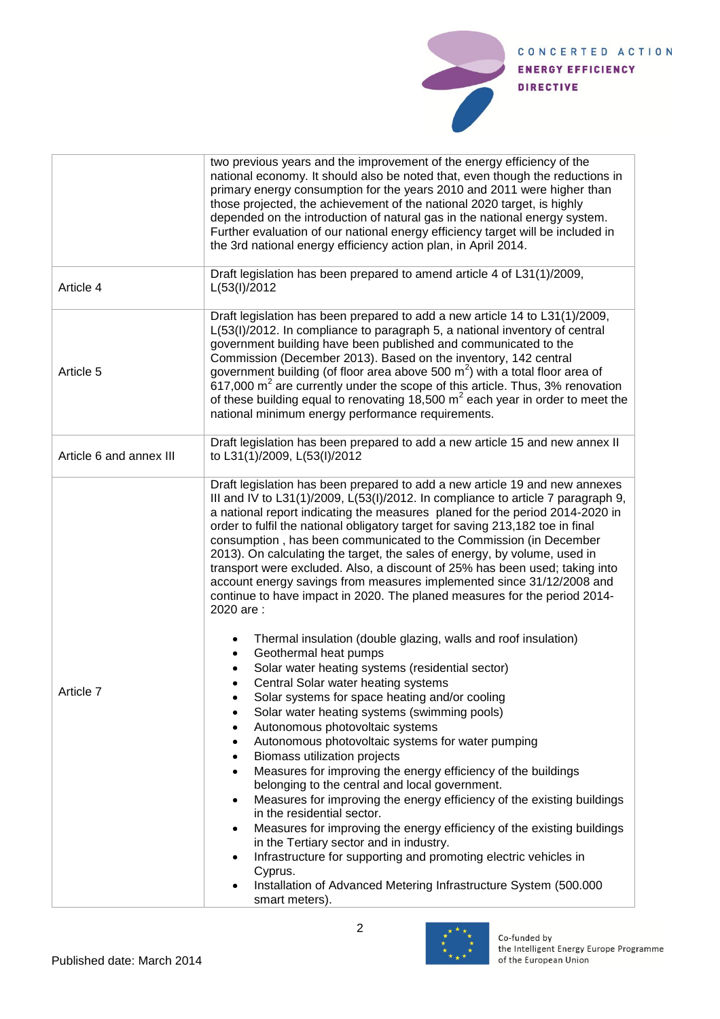

|                         | two previous years and the improvement of the energy efficiency of the<br>national economy. It should also be noted that, even though the reductions in<br>primary energy consumption for the years 2010 and 2011 were higher than<br>those projected, the achievement of the national 2020 target, is highly                                                                                                                                                                                                                                                                                                                                                                                                                                                                                                                                                                                                                                                    |
|-------------------------|------------------------------------------------------------------------------------------------------------------------------------------------------------------------------------------------------------------------------------------------------------------------------------------------------------------------------------------------------------------------------------------------------------------------------------------------------------------------------------------------------------------------------------------------------------------------------------------------------------------------------------------------------------------------------------------------------------------------------------------------------------------------------------------------------------------------------------------------------------------------------------------------------------------------------------------------------------------|
|                         | depended on the introduction of natural gas in the national energy system.<br>Further evaluation of our national energy efficiency target will be included in<br>the 3rd national energy efficiency action plan, in April 2014.                                                                                                                                                                                                                                                                                                                                                                                                                                                                                                                                                                                                                                                                                                                                  |
| Article 4               | Draft legislation has been prepared to amend article 4 of L31(1)/2009,<br>L(53(I)/2012)                                                                                                                                                                                                                                                                                                                                                                                                                                                                                                                                                                                                                                                                                                                                                                                                                                                                          |
| Article 5               | Draft legislation has been prepared to add a new article 14 to L31(1)/2009,<br>L(53(I)/2012. In compliance to paragraph 5, a national inventory of central<br>government building have been published and communicated to the<br>Commission (December 2013). Based on the inventory, 142 central<br>government building (of floor area above 500 $m2$ ) with a total floor area of<br>617,000 $m2$ are currently under the scope of this article. Thus, 3% renovation<br>of these building equal to renovating 18,500 $m2$ each year in order to meet the<br>national minimum energy performance requirements.                                                                                                                                                                                                                                                                                                                                                   |
| Article 6 and annex III | Draft legislation has been prepared to add a new article 15 and new annex II<br>to L31(1)/2009, L(53(I)/2012                                                                                                                                                                                                                                                                                                                                                                                                                                                                                                                                                                                                                                                                                                                                                                                                                                                     |
|                         | Draft legislation has been prepared to add a new article 19 and new annexes<br>III and IV to L31(1)/2009, L(53(I)/2012. In compliance to article 7 paragraph 9,<br>a national report indicating the measures planed for the period 2014-2020 in<br>order to fulfil the national obligatory target for saving 213,182 toe in final<br>consumption, has been communicated to the Commission (in December<br>2013). On calculating the target, the sales of energy, by volume, used in<br>transport were excluded. Also, a discount of 25% has been used; taking into<br>account energy savings from measures implemented since 31/12/2008 and<br>continue to have impact in 2020. The planed measures for the period 2014-<br>2020 are:                                                                                                                                                                                                                            |
| Article 7               | Thermal insulation (double glazing, walls and roof insulation)<br>Geothermal heat pumps<br>Solar water heating systems (residential sector)<br>Central Solar water heating systems<br>Solar systems for space heating and/or cooling<br>Solar water heating systems (swimming pools)<br>Autonomous photovoltaic systems<br>Autonomous photovoltaic systems for water pumping<br>Biomass utilization projects<br>٠<br>Measures for improving the energy efficiency of the buildings<br>$\bullet$<br>belonging to the central and local government.<br>Measures for improving the energy efficiency of the existing buildings<br>$\bullet$<br>in the residential sector.<br>Measures for improving the energy efficiency of the existing buildings<br>$\bullet$<br>in the Tertiary sector and in industry.<br>Infrastructure for supporting and promoting electric vehicles in<br>٠<br>Cyprus.<br>Installation of Advanced Metering Infrastructure System (500.000 |
|                         | smart meters).                                                                                                                                                                                                                                                                                                                                                                                                                                                                                                                                                                                                                                                                                                                                                                                                                                                                                                                                                   |

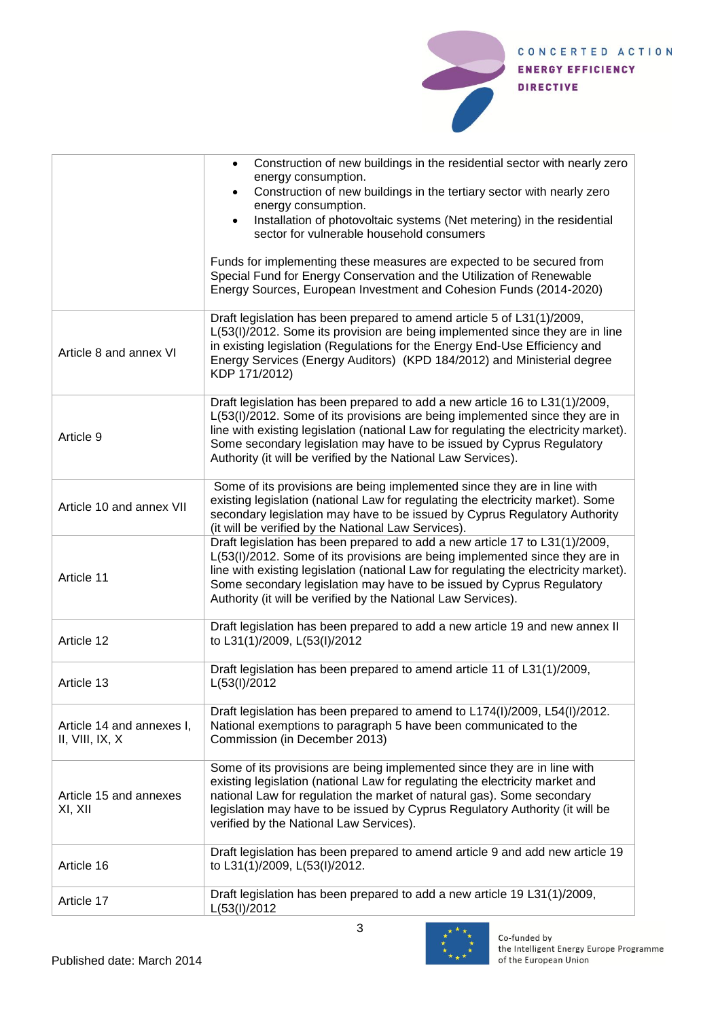

|                                              | Construction of new buildings in the residential sector with nearly zero<br>$\bullet$<br>energy consumption.<br>Construction of new buildings in the tertiary sector with nearly zero<br>$\bullet$<br>energy consumption.<br>Installation of photovoltaic systems (Net metering) in the residential<br>$\bullet$<br>sector for vulnerable household consumers<br>Funds for implementing these measures are expected to be secured from<br>Special Fund for Energy Conservation and the Utilization of Renewable<br>Energy Sources, European Investment and Cohesion Funds (2014-2020) |
|----------------------------------------------|---------------------------------------------------------------------------------------------------------------------------------------------------------------------------------------------------------------------------------------------------------------------------------------------------------------------------------------------------------------------------------------------------------------------------------------------------------------------------------------------------------------------------------------------------------------------------------------|
| Article 8 and annex VI                       | Draft legislation has been prepared to amend article 5 of L31(1)/2009,<br>L(53(I)/2012. Some its provision are being implemented since they are in line<br>in existing legislation (Regulations for the Energy End-Use Efficiency and<br>Energy Services (Energy Auditors) (KPD 184/2012) and Ministerial degree<br>KDP 171/2012)                                                                                                                                                                                                                                                     |
| Article 9                                    | Draft legislation has been prepared to add a new article 16 to L31(1)/2009,<br>L(53(I)/2012. Some of its provisions are being implemented since they are in<br>line with existing legislation (national Law for regulating the electricity market).<br>Some secondary legislation may have to be issued by Cyprus Regulatory<br>Authority (it will be verified by the National Law Services).                                                                                                                                                                                         |
| Article 10 and annex VII                     | Some of its provisions are being implemented since they are in line with<br>existing legislation (national Law for regulating the electricity market). Some<br>secondary legislation may have to be issued by Cyprus Regulatory Authority<br>(it will be verified by the National Law Services).                                                                                                                                                                                                                                                                                      |
| Article 11                                   | Draft legislation has been prepared to add a new article 17 to L31(1)/2009,<br>L(53(I)/2012. Some of its provisions are being implemented since they are in<br>line with existing legislation (national Law for regulating the electricity market).<br>Some secondary legislation may have to be issued by Cyprus Regulatory<br>Authority (it will be verified by the National Law Services).                                                                                                                                                                                         |
| Article 12                                   | Draft legislation has been prepared to add a new article 19 and new annex II<br>to L31(1)/2009, L(53(I)/2012                                                                                                                                                                                                                                                                                                                                                                                                                                                                          |
| Article 13                                   | Draft legislation has been prepared to amend article 11 of L31(1)/2009,<br>L(53(I)/2012)                                                                                                                                                                                                                                                                                                                                                                                                                                                                                              |
| Article 14 and annexes I,<br>II, VIII, IX, X | Draft legislation has been prepared to amend to L174(I)/2009, L54(I)/2012.<br>National exemptions to paragraph 5 have been communicated to the<br>Commission (in December 2013)                                                                                                                                                                                                                                                                                                                                                                                                       |
| Article 15 and annexes<br>XI, XII            | Some of its provisions are being implemented since they are in line with<br>existing legislation (national Law for regulating the electricity market and<br>national Law for regulation the market of natural gas). Some secondary<br>legislation may have to be issued by Cyprus Regulatory Authority (it will be<br>verified by the National Law Services).                                                                                                                                                                                                                         |
| Article 16                                   | Draft legislation has been prepared to amend article 9 and add new article 19<br>to L31(1)/2009, L(53(I)/2012.                                                                                                                                                                                                                                                                                                                                                                                                                                                                        |
| Article 17                                   | Draft legislation has been prepared to add a new article 19 L31(1)/2009,<br>L(53(I)/2012)                                                                                                                                                                                                                                                                                                                                                                                                                                                                                             |